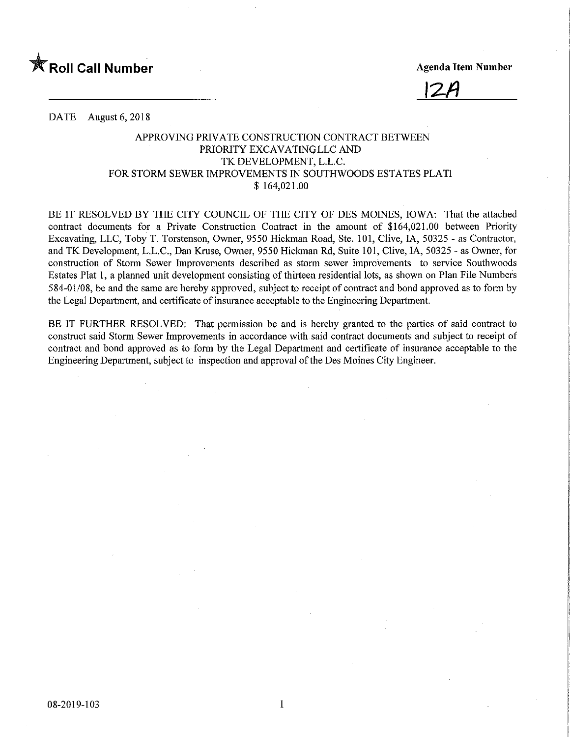



DATE August 6, 2018

## APPROVING PRIVATE CONSTRUCTION CONTRACT BETWEEN PRIORITY EXCAVATINQLLC AND TK DEVELOPMENT, L.L.C. FOR STORM SEWER IMPROVEMENTS IN SOUTHWOODS ESTATES PLAT1 \$ 164,021.00

BE IT RESOLVED BY THE CITY COUNCIL OF THE CITY OF DES MOINES, IOWA: That the attached contract documents for a Private Construction Contract in the amount of \$164,021.00 between Priority Excavating, LLC, Toby T. Torstenson, Owner, 9550 Hickman Road, Ste. 101, Clive, IA, 50325 - as Contractor, and TK Development, L.L.C., Dan Kruse, Owner, 9550 Hickman Rd, Suite 101, Clive, IA, 50325 - as Owner, for construction of Storm Sewer Improvements described as storm sewer improvements to service Southwoods Estates Plat 1, a planned unit development consisting of thirteen residential lots, as shown on Plan File Numbers 584-01/08, be and the same are hereby approved, subject to receipt of contract and bond approved as to form by the Legal Department, and certificate of insurance acceptable to the Engineering Department.

BE IT FURTHER RESOLVED: That permission be and is hereby granted to the parties of said contract to construct said Storm Sewer Improvements in accordance with said contract documents and subject to receipt of contract and bond approved as to form by the Legal Department and certificate of insurance acceptable to the Engineering Department, subject to inspection and approval of the Des Moines City Engineer.

 $\mathbf{1}$